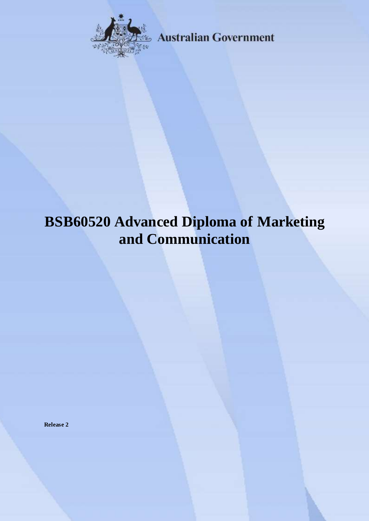

**Australian Government** 

# **BSB60520 Advanced Diploma of Marketing and Communication**

**Release 2**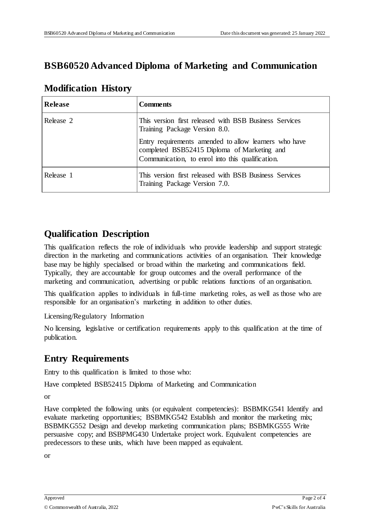## **BSB60520 Advanced Diploma of Marketing and Communication**

| <b>Modification History</b> |  |
|-----------------------------|--|
|                             |  |

| Release   | <b>Comments</b>                                                                                                                                          |
|-----------|----------------------------------------------------------------------------------------------------------------------------------------------------------|
| Release 2 | This version first released with BSB Business Services<br>Training Package Version 8.0.                                                                  |
|           | Entry requirements amended to allow learners who have<br>completed BSB52415 Diploma of Marketing and<br>Communication, to enrol into this qualification. |
| Release 1 | This version first released with BSB Business Services<br>Training Package Version 7.0.                                                                  |

#### **Qualification Description**

This qualification reflects the role of individuals who provide leadership and support strategic direction in the marketing and communications activities of an organisation. Their knowledge base may be highly specialised or broad within the marketing and communications field. Typically, they are accountable for group outcomes and the overall performance of the marketing and communication, advertising or public relations functions of an organisation.

This qualification applies to individuals in full-time marketing roles, as well as those who are responsible for an organisation's marketing in addition to other duties.

Licensing/Regulatory Information

No licensing, legislative or certification requirements apply to this qualification at the time of publication.

## **Entry Requirements**

Entry to this qualification is limited to those who:

Have completed BSB52415 Diploma of Marketing and Communication

or

Have completed the following units (or equivalent competencies): BSBMKG541 Identify and evaluate marketing opportunities; BSBMKG542 Establish and monitor the marketing mix; BSBMKG552 Design and develop marketing communication plans; BSBMKG555 Write persuasive copy; and BSBPMG430 Undertake project work. Equivalent competencies are predecessors to these units, which have been mapped as equivalent.

or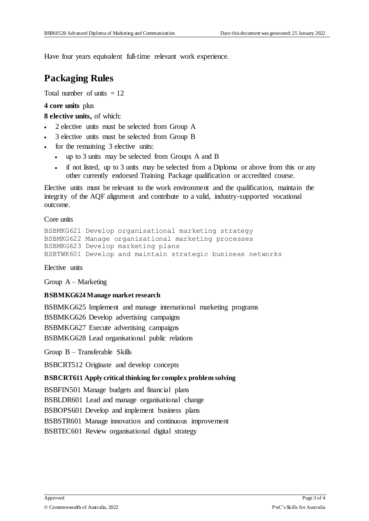Have four years equivalent full-time relevant work experience.

### **Packaging Rules**

Total number of units  $= 12$ 

**4 core units** plus

**8 elective units,** of which:

- 2 elective units must be selected from Group A
- 3 elective units must be selected from Group B
- for the remaining 3 elective units:
	- up to 3 units may be selected from Groups A and B
	- if not listed, up to 3 units may be selected from a Diploma or above from this or any other currently endorsed Training Package qualification or accredited course.

Elective units must be relevant to the work environment and the qualification, maintain the integrity of the AQF alignment and contribute to a valid, industry-supported vocational outcome.

Core units

```
BSBMKG621 Develop organisational marketing strategy
BSBMKG622 Manage organisational marketing processes
BSBMKG623 Develop marketing plans
BSBTWK601 Develop and maintain strategic business networks
```
Elective units

Group A – Marketing

#### **BSBMKG624 Manage market research**

BSBMKG625 Implement and manage international marketing programs

BSBMKG626 Develop advertising campaigns

BSBMKG627 Execute advertising campaigns

BSBMKG628 Lead organisational public relations

Group B – Transferable Skills

BSBCRT512 Originate and develop concepts

#### **BSBCRT611 Apply critical thinking for complex problem solving**

BSBFIN501 Manage budgets and financial plans

BSBLDR601 Lead and manage organisational change

BSBOPS601 Develop and implement business plans

BSBSTR601 Manage innovation and continuous improvement

BSBTEC601 Review organisational digital strategy